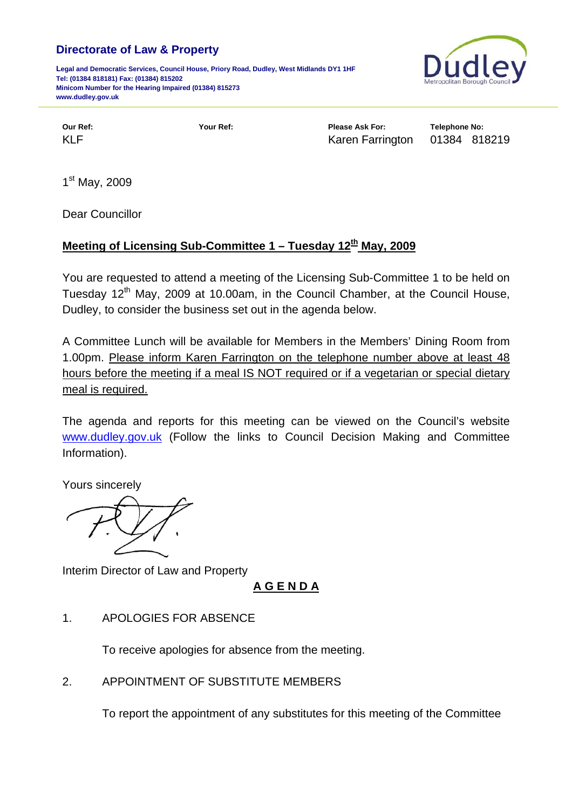## **Directorate of Law & Property**

**Legal and Democratic Services, Council House, Priory Road, Dudley, West Midlands DY1 1HF Tel: (01384 818181) Fax: (01384) 815202 Minicom Number for the Hearing Impaired (01384) 815273 www.dudley.gov.uk**



**Our Ref: Your Ref: Please Ask For: Telephone No:**  KLF Karen Farrington 01384 818219

1<sup>st</sup> May, 2009

Dear Councillor

## **Meeting of Licensing Sub-Committee 1 – Tuesday 12th May, 2009**

You are requested to attend a meeting of the Licensing Sub-Committee 1 to be held on Tuesday  $12<sup>th</sup>$  May, 2009 at 10.00am, in the Council Chamber, at the Council House, Dudley, to consider the business set out in the agenda below.

A Committee Lunch will be available for Members in the Members' Dining Room from 1.00pm. Please inform Karen Farrington on the telephone number above at least 48 hours before the meeting if a meal IS NOT required or if a vegetarian or special dietary meal is required.

The agenda and reports for this meeting can be viewed on the Council's website [www.dudley.gov.uk](http://www.dudley.gov.uk/) (Follow the links to Council Decision Making and Committee Information).

Yours sincerely

Interim Director of Law and Property

**A G E N D A**

1. APOLOGIES FOR ABSENCE

To receive apologies for absence from the meeting.

2. APPOINTMENT OF SUBSTITUTE MEMBERS

To report the appointment of any substitutes for this meeting of the Committee